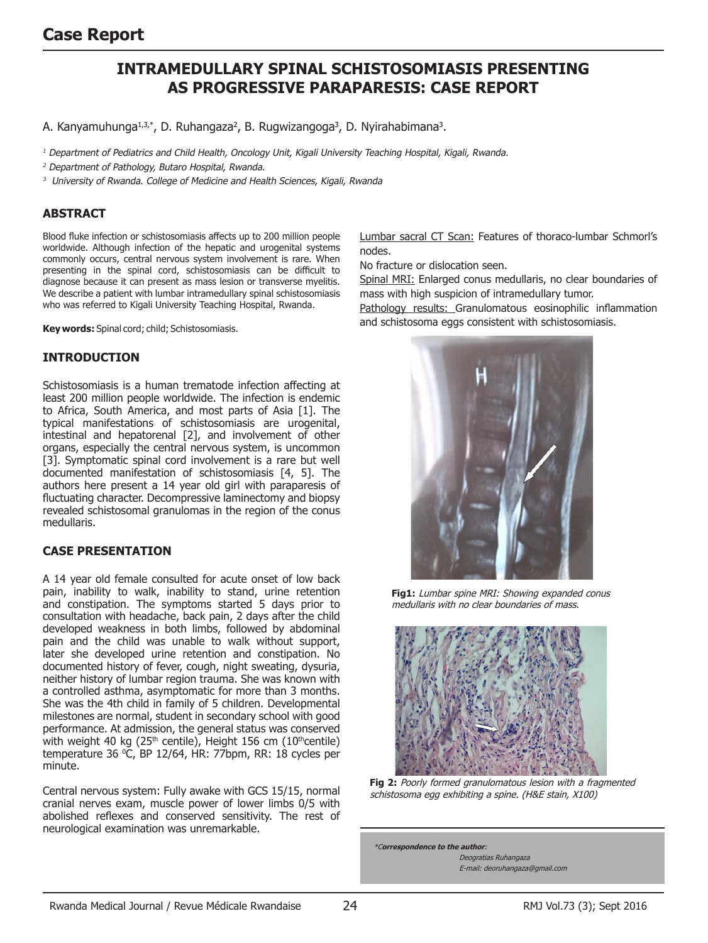# **Intramedullary spinal schistosomiasis presenting as progressive paraparesis: case report**

A. Kanyamuhunga<sup>1,3,\*</sup>, D. Ruhangaza<sup>2</sup>, B. Rugwizangoga<sup>3</sup>, D. Nyirahabimana<sup>3</sup>.

<sup>1</sup> Department of Pediatrics and Child Health, Oncology Unit, Kigali University Teaching Hospital, Kigali, Rwanda.

<sup>2</sup> Department of Pathology, Butaro Hospital, Rwanda.

<sup>3</sup> University of Rwanda. College of Medicine and Health Sciences, Kigali, Rwanda

### **ABSTRACT**

Blood fluke infection or schistosomiasis affects up to 200 million people worldwide. Although infection of the hepatic and urogenital systems commonly occurs, central nervous system involvement is rare. When presenting in the spinal cord, schistosomiasis can be difficult to diagnose because it can present as mass lesion or transverse myelitis. We describe a patient with lumbar intramedullary spinal schistosomiasis who was referred to Kigali University Teaching Hospital, Rwanda.

**Key words:** Spinal cord; child; Schistosomiasis.

#### **Introduction**

Schistosomiasis is a human trematode infection affecting at least 200 million people worldwide. The infection is endemic to Africa, South America, and most parts of Asia [1]. The typical manifestations of schistosomiasis are urogenital, intestinal and hepatorenal [2], and involvement of other organs, especially the central nervous system, is uncommon [3]. Symptomatic spinal cord involvement is a rare but well documented manifestation of schistosomiasis [4, 5]. The authors here present a 14 year old girl with paraparesis of fluctuating character. Decompressive laminectomy and biopsy revealed schistosomal granulomas in the region of the conus medullaris.

### **CASE PRESENTATION**

A 14 year old female consulted for acute onset of low back pain, inability to walk, inability to stand, urine retention and constipation. The symptoms started 5 days prior to consultation with headache, back pain, 2 days after the child developed weakness in both limbs, followed by abdominal pain and the child was unable to walk without support, later she developed urine retention and constipation. No documented history of fever, cough, night sweating, dysuria, neither history of lumbar region trauma. She was known with a controlled asthma, asymptomatic for more than 3 months. She was the 4th child in family of 5 children. Developmental milestones are normal, student in secondary school with good performance. At admission, the general status was conserved with weight 40 kg (25<sup>th</sup> centile), Height 156 cm (10<sup>th</sup>centile) temperature 36 0 C, BP 12/64, HR: 77bpm, RR: 18 cycles per minute.

Central nervous system: Fully awake with GCS 15/15, normal cranial nerves exam, muscle power of lower limbs 0/5 with abolished reflexes and conserved sensitivity. The rest of neurological examination was unremarkable.

Lumbar sacral CT Scan: Features of thoraco-lumbar Schmorl's nodes.

No fracture or dislocation seen.

Spinal MRI: Enlarged conus medullaris, no clear boundaries of mass with high suspicion of intramedullary tumor.

Pathology results: Granulomatous eosinophilic inflammation and schistosoma eggs consistent with schistosomiasis.



**Fig1:** Lumbar spine MRI: Showing expanded conus medullaris with no clear boundaries of mass.



**Fig 2:** Poorly formed granulomatous lesion with a fragmented schistosoma egg exhibiting a spine. (H&E stain, X100)

\*C**orrespondence to the author**: Deogratias Ruhangaza E-mail: deoruhangaza@gmail.com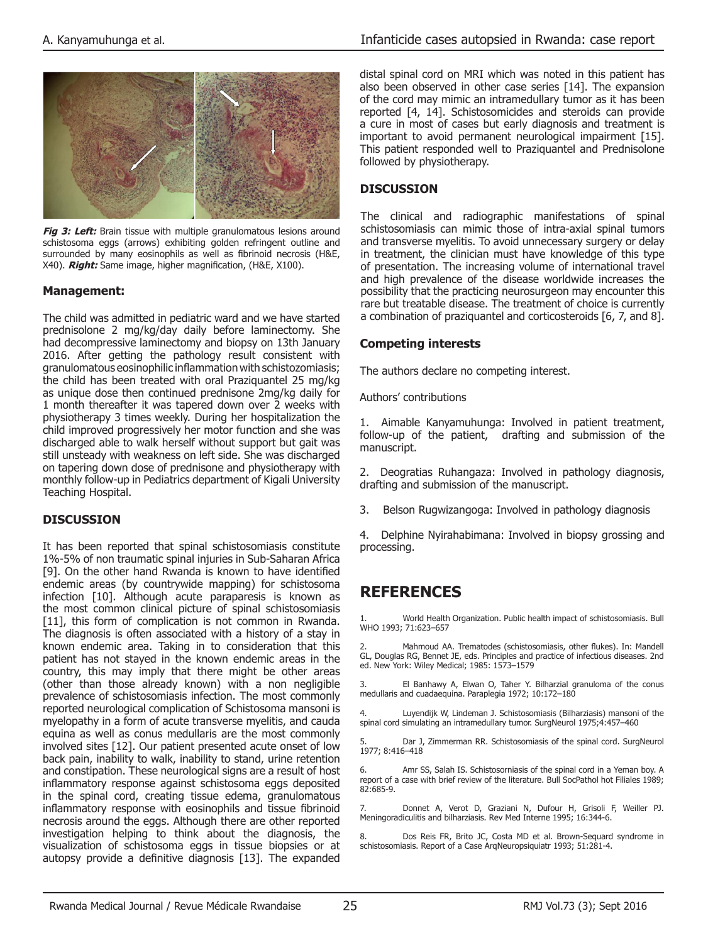

Fig 3: Left: Brain tissue with multiple granulomatous lesions around schistosoma eggs (arrows) exhibiting golden refringent outline and surrounded by many eosinophils as well as fibrinoid necrosis (H&E, X40). **Right:** Same image, higher magnification, (H&E, X100).

#### **Management:**

The child was admitted in pediatric ward and we have started prednisolone 2 mg/kg/day daily before laminectomy. She had decompressive laminectomy and biopsy on 13th January 2016. After getting the pathology result consistent with granulomatous eosinophilic inflammation with schistozomiasis; the child has been treated with oral Praziquantel 25 mg/kg as unique dose then continued prednisone 2mg/kg daily for 1 month thereafter it was tapered down over 2 weeks with physiotherapy 3 times weekly. During her hospitalization the child improved progressively her motor function and she was discharged able to walk herself without support but gait was still unsteady with weakness on left side. She was discharged on tapering down dose of prednisone and physiotherapy with monthly follow-up in Pediatrics department of Kigali University Teaching Hospital.

#### **DISCUSSION**

It has been reported that spinal schistosomiasis constitute 1%-5% of non traumatic spinal injuries in Sub-Saharan Africa [9]. On the other hand Rwanda is known to have identified endemic areas (by countrywide mapping) for schistosoma infection [10]. Although acute paraparesis is known as the most common clinical picture of spinal schistosomiasis [11], this form of complication is not common in Rwanda. The diagnosis is often associated with a history of a stay in known endemic area. Taking in to consideration that this patient has not stayed in the known endemic areas in the country, this may imply that there might be other areas (other than those already known) with a non negligible prevalence of schistosomiasis infection. The most commonly reported neurological complication of Schistosoma mansoni is myelopathy in a form of acute transverse myelitis, and cauda equina as well as conus medullaris are the most commonly involved sites [12]. Our patient presented acute onset of low back pain, inability to walk, inability to stand, urine retention and constipation. These neurological signs are a result of host inflammatory response against schistosoma eggs deposited in the spinal cord, creating tissue edema, granulomatous inflammatory response with eosinophils and tissue fibrinoid necrosis around the eggs. Although there are other reported investigation helping to think about the diagnosis, the visualization of schistosoma eggs in tissue biopsies or at autopsy provide a definitive diagnosis [13]. The expanded distal spinal cord on MRI which was noted in this patient has also been observed in other case series [14]. The expansion of the cord may mimic an intramedullary tumor as it has been reported [4, 14]. Schistosomicides and steroids can provide a cure in most of cases but early diagnosis and treatment is important to avoid permanent neurological impairment [15]. This patient responded well to Praziquantel and Prednisolone followed by physiotherapy.

## **DISCUSSION**

The clinical and radiographic manifestations of spinal schistosomiasis can mimic those of intra-axial spinal tumors and transverse myelitis. To avoid unnecessary surgery or delay in treatment, the clinician must have knowledge of this type of presentation. The increasing volume of international travel and high prevalence of the disease worldwide increases the possibility that the practicing neurosurgeon may encounter this rare but treatable disease. The treatment of choice is currently a combination of praziquantel and corticosteroids [6, 7, and 8].

## **Competing interests**

The authors declare no competing interest.

Authors' contributions

1. Aimable Kanyamuhunga: Involved in patient treatment, follow-up of the patient, drafting and submission of the manuscript.

2. Deogratias Ruhangaza: Involved in pathology diagnosis, drafting and submission of the manuscript.

3. Belson Rugwizangoga: Involved in pathology diagnosis

4. Delphine Nyirahabimana: Involved in biopsy grossing and

# **References**

1. World Health Organization. Public health impact of schistosomiasis. Bull WHO 1993; 71:623–657

Mahmoud AA. Trematodes (schistosomiasis, other flukes). In: Mandell GL, Douglas RG, Bennet JE, eds. Principles and practice of infectious diseases. 2nd ed. New York: Wiley Medical; 1985: 1573–1579

3. El Banhawy A, Elwan O, Taher Y. Bilharzial granuloma of the conus medullaris and cuadaequina. Paraplegia 1972; 10:172–180

4. Luyendijk W, Lindeman J. Schistosomiasis (Bilharziasis) mansoni of the spinal cord simulating an intramedullary tumor. SurgNeurol 1975;4:457–460

Dar J, Zimmerman RR. Schistosomiasis of the spinal cord. SurgNeurol 1977; 8:416–418

6. Amr SS, Salah IS. Schistosorniasis of the spinal cord in a Yeman boy. A report of a case with brief review of the literature. Bull SocPathol hot Filiales 1989; 82:685-9.

7. Donnet A, Verot D, Graziani N, Dufour H, Grisoli F, Weiller PJ. Meningoradiculitis and bilharziasis. Rev Med Interne 1995; 16:344-6.

8. Dos Reis FR, Brito JC, Costa MD et al. Brown-Sequard syndrome in schistosomiasis. Report of a Case ArqNeuropsiquiatr 1993; 51:281-4.